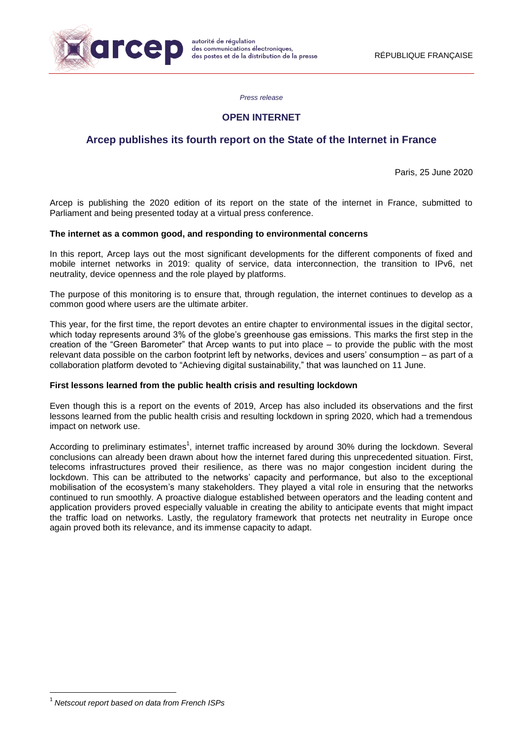

*Press release*

## **OPEN INTERNET**

# **Arcep publishes its fourth report on the State of the Internet in France**

Paris, 25 June 2020

Arcep is publishing the 2020 edition of its report on the state of the internet in France, submitted to Parliament and being presented today at a virtual press conference.

### **The internet as a common good, and responding to environmental concerns**

In this report, Arcep lays out the most significant developments for the different components of fixed and mobile internet networks in 2019: quality of service, data interconnection, the transition to IPv6, net neutrality, device openness and the role played by platforms.

The purpose of this monitoring is to ensure that, through regulation, the internet continues to develop as a common good where users are the ultimate arbiter.

This year, for the first time, the report devotes an entire chapter to environmental issues in the digital sector, which today represents around 3% of the globe's greenhouse gas emissions. This marks the first step in the creation of the "Green Barometer" that Arcep wants to put into place – to provide the public with the most relevant data possible on the carbon footprint left by networks, devices and users' consumption – as part of a collaboration platform devoted to "Achieving digital sustainability," that was launched on 11 June.

### **First lessons learned from the public health crisis and resulting lockdown**

Even though this is a report on the events of 2019, Arcep has also included its observations and the first lessons learned from the public health crisis and resulting lockdown in spring 2020, which had a tremendous impact on network use.

According to preliminary estimates<sup>1</sup>, internet traffic increased by around 30% during the lockdown. Several conclusions can already been drawn about how the internet fared during this unprecedented situation. First, telecoms infrastructures proved their resilience, as there was no major congestion incident during the lockdown. This can be attributed to the networks' capacity and performance, but also to the exceptional mobilisation of the ecosystem's many stakeholders. They played a vital role in ensuring that the networks continued to run smoothly. A proactive dialogue established between operators and the leading content and application providers proved especially valuable in creating the ability to anticipate events that might impact the traffic load on networks. Lastly, the regulatory framework that protects net neutrality in Europe once again proved both its relevance, and its immense capacity to adapt.

**.** 

<sup>1</sup> *Netscout report based on data from French ISPs*